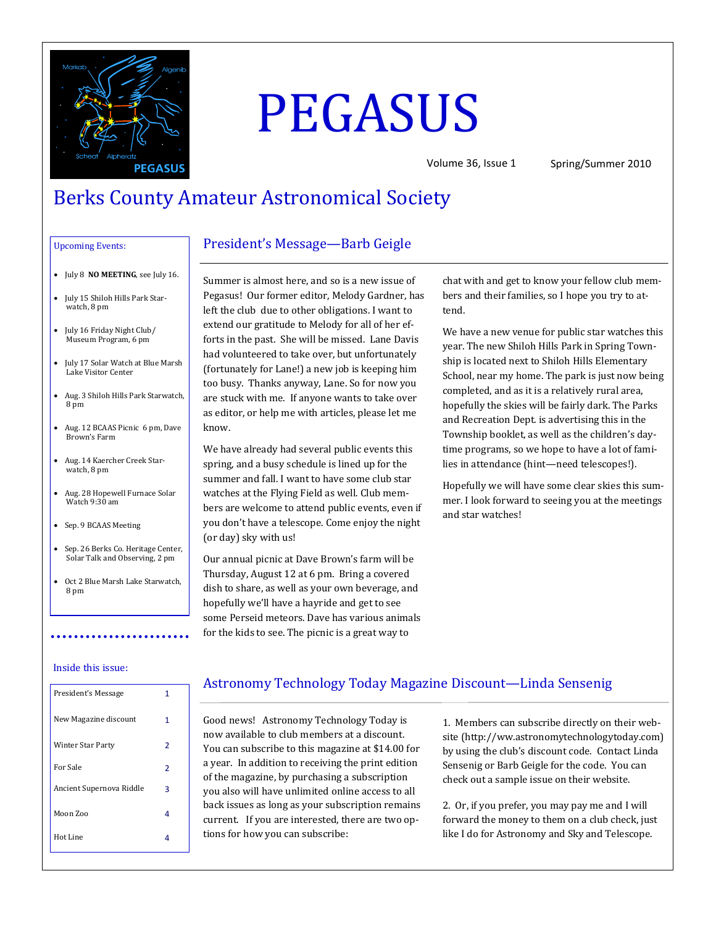

# PEGASUS

Volume 36, Issue 1 Spring/Summer 2010

# Berks County Amateur Astronomical Society

#### Upcoming Events:

- July 8 **NO MEETING**, see July 16.
- July 15 Shiloh Hills Park Starwatch, 8 pm
- July 16 Friday Night Club/ Museum Program, 6 pm
- July 17 Solar Watch at Blue Marsh Lake Visitor Center
- Aug. 3 Shiloh Hills Park Starwatch, 8 pm
- Aug. 12 BCAAS Picnic 6 pm, Dave Brown's Farm
- Aug. 14 Kaercher Creek Starwatch, 8 pm
- Aug. 28 Hopewell Furnace Solar Watch 9:30 am
- Sep. 9 BCAAS Meeting
- Sep. 26 Berks Co. Heritage Center, Solar Talk and Observing, 2 pm
- Oct 2 Blue Marsh Lake Starwatch, 8 pm

# President's Message—Barb Geigle

Summer is almost here, and so is a new issue of Pegasus! Our former editor, Melody Gardner, has left the club due to other obligations. I want to extend our gratitude to Melody for all of her efforts in the past. She will be missed. Lane Davis had volunteered to take over, but unfortunately (fortunately for Lane!) a new job is keeping him too busy. Thanks anyway, Lane. So for now you are stuck with me. If anyone wants to take over as editor, or help me with articles, please let me know.

We have already had several public events this spring, and a busy schedule is lined up for the summer and fall. I want to have some club star watches at the Flying Field as well. Club members are welcome to attend public events, even if you don't have a telescope. Come enjoy the night (or day) sky with us!

Our annual picnic at Dave Brown's farm will be Thursday, August 12 at 6 pm. Bring a covered dish to share, as well as your own beverage, and hopefully we'll have a hayride and get to see some Perseid meteors. Dave has various animals for the kids to see. The picnic is a great way to

chat with and get to know your fellow club members and their families, so I hope you try to attend.

We have a new venue for public star watches this year. The new Shiloh Hills Park in Spring Township is located next to Shiloh Hills Elementary School, near my home. The park is just now being completed, and as it is a relatively rural area, hopefully the skies will be fairly dark. The Parks and Recreation Dept. is advertising this in the Township booklet, as well as the children's daytime programs, so we hope to have a lot of families in attendance (hint—need telescopes!).

Hopefully we will have some clear skies this summer. I look forward to seeing you at the meetings and star watches!

#### Inside this issue:

| President's Message      | 1 |
|--------------------------|---|
| New Magazine discount    | 1 |
| Winter Star Party        | 2 |
| For Sale                 | 2 |
| Ancient Supernova Riddle | з |
| Moon Zoo                 | 4 |
| Hot Line                 | Δ |
|                          |   |

## Astronomy Technology Today Magazine Discount—Linda Sensenig

Good news! Astronomy Technology Today is now available to club members at a discount. You can subscribe to this magazine at \$14.00 for a year. In addition to receiving the print edition of the magazine, by purchasing a subscription you also will have unlimited online access to all back issues as long as your subscription remains current. If you are interested, there are two options for how you can subscribe:

1. Members can subscribe directly on their website (http://ww.astronomytechnologytoday.com) by using the club's discount code. Contact Linda Sensenig or Barb Geigle for the code. You can check out a sample issue on their website.

2. Or, if you prefer, you may pay me and I will forward the money to them on a club check, just like I do for Astronomy and Sky and Telescope.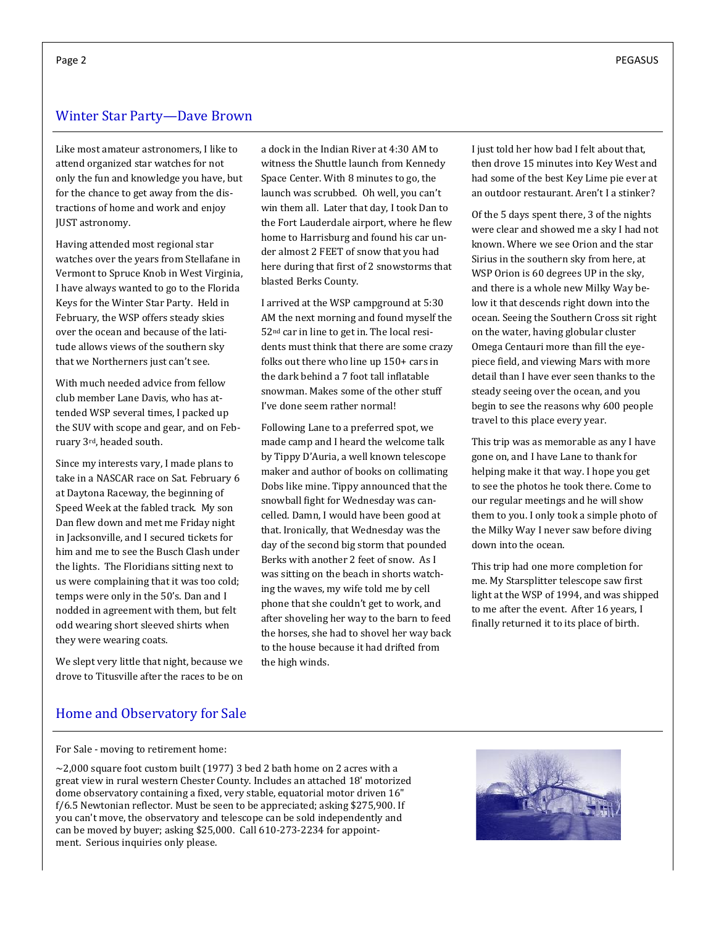# Winter Star Party—Dave Brown

Like most amateur astronomers, I like to attend organized star watches for not only the fun and knowledge you have, but for the chance to get away from the distractions of home and work and enjoy JUST astronomy.

Having attended most regional star watches over the years from Stellafane in Vermont to Spruce Knob in West Virginia, I have always wanted to go to the Florida Keys for the Winter Star Party. Held in February, the WSP offers steady skies over the ocean and because of the latitude allows views of the southern sky that we Northerners just can't see.

With much needed advice from fellow club member Lane Davis, who has attended WSP several times, I packed up the SUV with scope and gear, and on February 3rd, headed south.

Since my interests vary, I made plans to take in a NASCAR race on Sat. February 6 at Daytona Raceway, the beginning of Speed Week at the fabled track. My son Dan flew down and met me Friday night in Jacksonville, and I secured tickets for him and me to see the Busch Clash under the lights. The Floridians sitting next to us were complaining that it was too cold; temps were only in the 50's. Dan and I nodded in agreement with them, but felt odd wearing short sleeved shirts when they were wearing coats.

We slept very little that night, because we drove to Titusville after the races to be on

a dock in the Indian River at 4:30 AM to witness the Shuttle launch from Kennedy Space Center. With 8 minutes to go, the launch was scrubbed. Oh well, you can't win them all. Later that day, I took Dan to the Fort Lauderdale airport, where he flew home to Harrisburg and found his car under almost 2 FEET of snow that you had here during that first of 2 snowstorms that blasted Berks County.

I arrived at the WSP campground at 5:30 AM the next morning and found myself the 52nd car in line to get in. The local residents must think that there are some crazy folks out there who line up 150+ cars in the dark behind a 7 foot tall inflatable snowman. Makes some of the other stuff I've done seem rather normal!

Following Lane to a preferred spot, we made camp and I heard the welcome talk by Tippy D'Auria, a well known telescope maker and author of books on collimating Dobs like mine. Tippy announced that the snowball fight for Wednesday was cancelled. Damn, I would have been good at that. Ironically, that Wednesday was the day of the second big storm that pounded Berks with another 2 feet of snow. As I was sitting on the beach in shorts watching the waves, my wife told me by cell phone that she couldn't get to work, and after shoveling her way to the barn to feed the horses, she had to shovel her way back to the house because it had drifted from the high winds.

I just told her how bad I felt about that, then drove 15 minutes into Key West and had some of the best Key Lime pie ever at an outdoor restaurant. Aren't I a stinker?

Of the 5 days spent there, 3 of the nights were clear and showed me a sky I had not known. Where we see Orion and the star Sirius in the southern sky from here, at WSP Orion is 60 degrees UP in the sky, and there is a whole new Milky Way below it that descends right down into the ocean. Seeing the Southern Cross sit right on the water, having globular cluster Omega Centauri more than fill the eyepiece field, and viewing Mars with more detail than I have ever seen thanks to the steady seeing over the ocean, and you begin to see the reasons why 600 people travel to this place every year.

This trip was as memorable as any I have gone on, and I have Lane to thank for helping make it that way. I hope you get to see the photos he took there. Come to our regular meetings and he will show them to you. I only took a simple photo of the Milky Way I never saw before diving down into the ocean.

This trip had one more completion for me. My Starsplitter telescope saw first light at the WSP of 1994, and was shipped to me after the event. After 16 years, I finally returned it to its place of birth.

## Home and Observatory for Sale

For Sale - moving to retirement home:

 $\sim$ 2,000 square foot custom built (1977) 3 bed 2 bath home on 2 acres with a great view in rural western Chester County. Includes an attached 18' motorized dome observatory containing a fixed, very stable, equatorial motor driven 16" f/6.5 Newtonian reflector. Must be seen to be appreciated; asking \$275,900. If you can't move, the observatory and telescope can be sold independently and can be moved by buyer; asking \$25,000. Call 610-273-2234 for appointment. Serious inquiries only please.

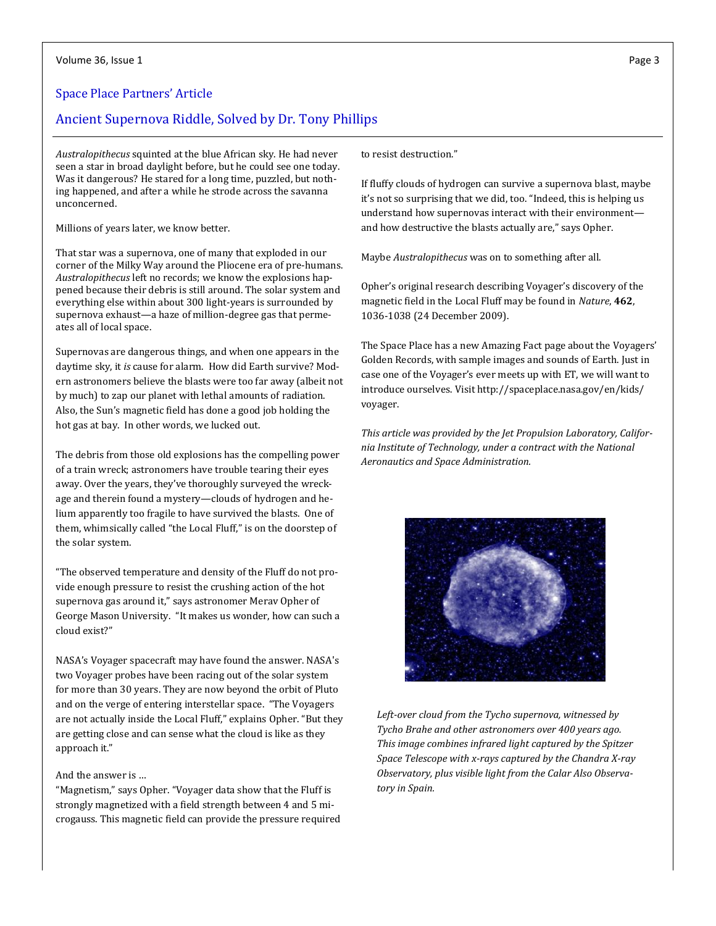#### Space Place Partners' Article

## Ancient Supernova Riddle, Solved by Dr. Tony Phillips

*Australopithecus* squinted at the blue African sky. He had never seen a star in broad daylight before, but he could see one today. Was it dangerous? He stared for a long time, puzzled, but nothing happened, and after a while he strode across the savanna unconcerned.

Millions of years later, we know better.

That star was a supernova, one of many that exploded in our corner of the Milky Way around the Pliocene era of pre-humans. *Australopithecus* left no records; we know the explosions happened because their debris is still around. The solar system and everything else within about 300 light-years is surrounded by supernova exhaust—a haze of million-degree gas that permeates all of local space.

Supernovas are dangerous things, and when one appears in the daytime sky, it *is* cause for alarm. How did Earth survive? Modern astronomers believe the blasts were too far away (albeit not by much) to zap our planet with lethal amounts of radiation. Also, the Sun's magnetic field has done a good job holding the hot gas at bay. In other words, we lucked out.

The debris from those old explosions has the compelling power of a train wreck; astronomers have trouble tearing their eyes away. Over the years, they've thoroughly surveyed the wreckage and therein found a mystery—clouds of hydrogen and helium apparently too fragile to have survived the blasts. One of them, whimsically called "the Local Fluff," is on the doorstep of the solar system.

"The observed temperature and density of the Fluff do not provide enough pressure to resist the crushing action of the hot supernova gas around it," says astronomer Merav Opher of George Mason University. "It makes us wonder, how can such a cloud exist?"

NASA's Voyager spacecraft may have found the answer. NASA's two Voyager probes have been racing out of the solar system for more than 30 years. They are now beyond the orbit of Pluto and on the verge of entering interstellar space. "The Voyagers are not actually inside the Local Fluff," explains Opher. "But they are getting close and can sense what the cloud is like as they approach it."

#### And the answer is …

"Magnetism," says Opher. "Voyager data show that the Fluff is strongly magnetized with a field strength between 4 and 5 microgauss. This magnetic field can provide the pressure required to resist destruction."

If fluffy clouds of hydrogen can survive a supernova blast, maybe it's not so surprising that we did, too. "Indeed, this is helping us understand how supernovas interact with their environment and how destructive the blasts actually are," says Opher.

Maybe *Australopithecus* was on to something after all.

Opher's original research describing Voyager's discovery of the magnetic field in the Local Fluff may be found in *Nature*, **462**, 1036-1038 (24 December 2009).

The Space Place has a new Amazing Fact page about the Voyagers' Golden Records, with sample images and sounds of Earth. Just in case one of the Voyager's ever meets up with ET, we will want to introduce ourselves. Visit http://spaceplace.nasa.gov/en/kids/ voyager.

*This article was provided by the Jet Propulsion Laboratory, California Institute of Technology, under a contract with the National Aeronautics and Space Administration.*



*Left-over cloud from the Tycho supernova, witnessed by Tycho Brahe and other astronomers over 400 years ago. This image combines infrared light captured by the Spitzer Space Telescope with x-rays captured by the Chandra X-ray Observatory, plus visible light from the Calar Also Observatory in Spain.*